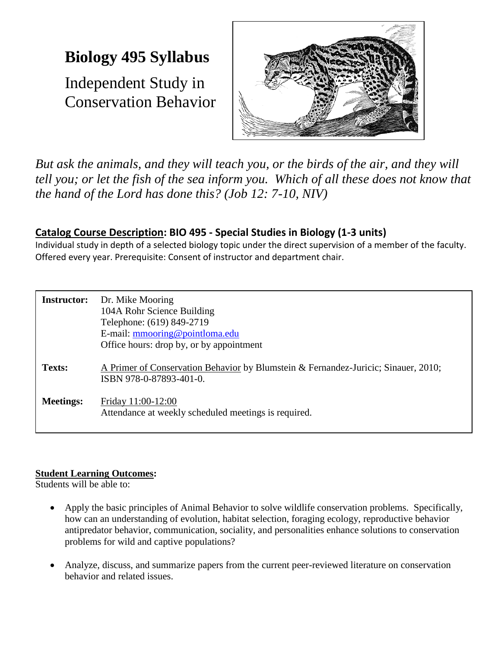# **Biology 495 Syllabus**

Independent Study in Conservation Behavior



*But ask the animals, and they will teach you, or the birds of the air, and they will tell you; or let the fish of the sea inform you. Which of all these does not know that the hand of the Lord has done this? (Job 12: 7-10, NIV)*

## **Catalog Course Description: BIO 495 - Special Studies in Biology (1-3 units)**

Individual study in depth of a selected biology topic under the direct supervision of a member of the faculty. Offered every year. Prerequisite: Consent of instructor and department chair.

| <b>Instructor:</b> | Dr. Mike Mooring<br>104A Rohr Science Building<br>Telephone: (619) 849-2719<br>E-mail: mmooring@pointloma.edu<br>Office hours: drop by, or by appointment |
|--------------------|-----------------------------------------------------------------------------------------------------------------------------------------------------------|
| <b>Texts:</b>      | A Primer of Conservation Behavior by Blumstein & Fernandez-Juricic; Sinauer, 2010;<br>ISBN 978-0-87893-401-0.                                             |
| <b>Meetings:</b>   | Friday 11:00-12:00<br>Attendance at weekly scheduled meetings is required.                                                                                |

### **Student Learning Outcomes:**

Students will be able to:

- Apply the basic principles of Animal Behavior to solve wildlife conservation problems. Specifically, how can an understanding of evolution, habitat selection, foraging ecology, reproductive behavior antipredator behavior, communication, sociality, and personalities enhance solutions to conservation problems for wild and captive populations?
- Analyze, discuss, and summarize papers from the current peer-reviewed literature on conservation behavior and related issues.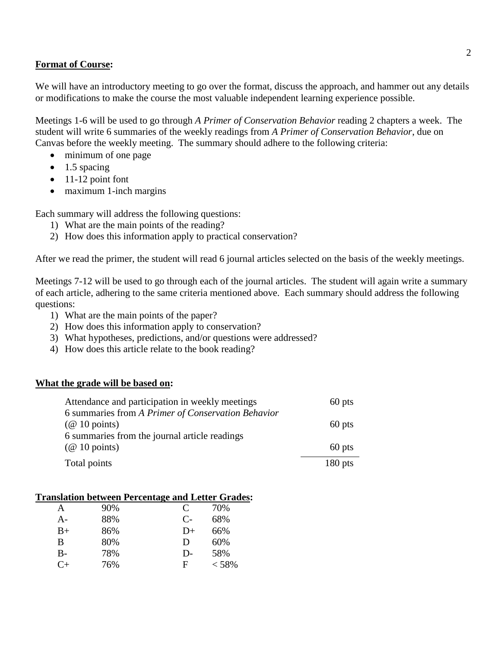#### **Format of Course:**

We will have an introductory meeting to go over the format, discuss the approach, and hammer out any details or modifications to make the course the most valuable independent learning experience possible.

Meetings 1-6 will be used to go through *A Primer of Conservation Behavior* reading 2 chapters a week. The student will write 6 summaries of the weekly readings from *A Primer of Conservation Behavior*, due on Canvas before the weekly meeting. The summary should adhere to the following criteria:

- minimum of one page
- $\bullet$  1.5 spacing
- $\bullet$  11-12 point font
- maximum 1-inch margins

Each summary will address the following questions:

- 1) What are the main points of the reading?
- 2) How does this information apply to practical conservation?

After we read the primer, the student will read 6 journal articles selected on the basis of the weekly meetings.

Meetings 7-12 will be used to go through each of the journal articles. The student will again write a summary of each article, adhering to the same criteria mentioned above. Each summary should address the following questions:

- 1) What are the main points of the paper?
- 2) How does this information apply to conservation?
- 3) What hypotheses, predictions, and/or questions were addressed?
- 4) How does this article relate to the book reading?

#### **What the grade will be based on:**

| Attendance and participation in weekly meetings    | 60 pts    |
|----------------------------------------------------|-----------|
| 6 summaries from A Primer of Conservation Behavior |           |
| $(\text{\&} 10 \text{ points})$                    | 60 pts    |
| 6 summaries from the journal article readings      |           |
| $(\text{\&} 10 \text{ points})$                    | 60 pts    |
| Total points                                       | $180$ pts |

#### **Translation between Percentage and Letter Grades:**

| A         | 90% | C    | 70%   |
|-----------|-----|------|-------|
| A-        | 88% | $C-$ | 68%   |
| $B+$      | 86% | D+   | 66%   |
| B         | 80% | D    | 60%   |
| B-        | 78% | $D-$ | 58%   |
| $C_{\pm}$ | 76% | F    | < 58% |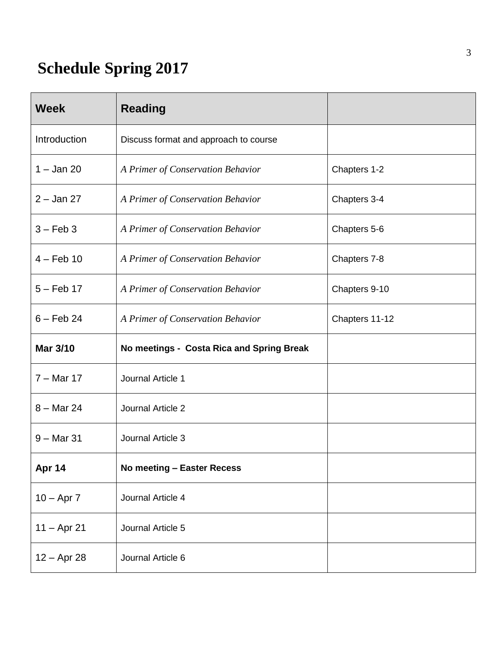# **Schedule Spring 2017**

| <b>Week</b>     | <b>Reading</b>                            |                |
|-----------------|-------------------------------------------|----------------|
| Introduction    | Discuss format and approach to course     |                |
| $1 -$ Jan 20    | A Primer of Conservation Behavior         | Chapters 1-2   |
| $2 -$ Jan 27    | A Primer of Conservation Behavior         | Chapters 3-4   |
| $3 - Feb 3$     | A Primer of Conservation Behavior         | Chapters 5-6   |
| $4 - Feb 10$    | A Primer of Conservation Behavior         | Chapters 7-8   |
| $5 - Feb$ 17    | A Primer of Conservation Behavior         | Chapters 9-10  |
| $6 - Feb$ 24    | A Primer of Conservation Behavior         | Chapters 11-12 |
| <b>Mar 3/10</b> | No meetings - Costa Rica and Spring Break |                |
| $7 -$ Mar 17    | Journal Article 1                         |                |
| $8 -$ Mar 24    | Journal Article 2                         |                |
| $9 -$ Mar 31    | Journal Article 3                         |                |
| Apr 14          | No meeting - Easter Recess                |                |
| $10 - Apr 7$    | Journal Article 4                         |                |
| $11 -$ Apr 21   | Journal Article 5                         |                |
| $12 - Apr 28$   | Journal Article 6                         |                |